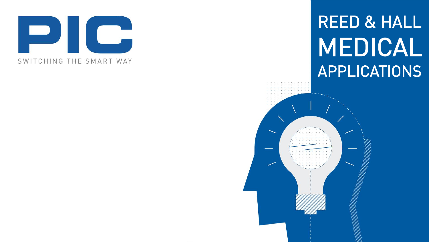

# REED & HALL MEDICAL APPLICATIONS

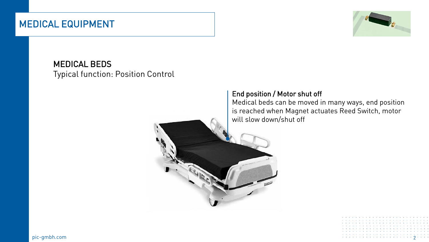### MEDICAL EQUIPMENT



MEDICAL BEDS Typical function: Position Control

#### End position / Motor shut off

Medical beds can be moved in many ways, end position is reached when Magnet actuates Reed Switch, motor will slow down/shut off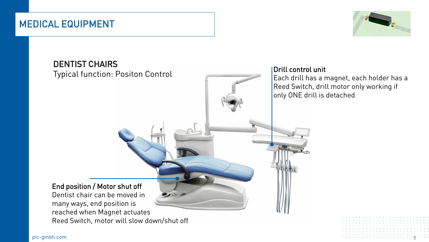#### MEDICAL EQUIPMENT



# DENTIST CHAIRS Typical function: Positon Control Drill control unit Each drill has a magnet, each holder has a Reed Switch, drill motor only working if only ONE drill is detached End position / Motor shut off Dentist chair can be moved in many ways, end position is reached when Magnet actuates Reed Switch, motor will slow down/shut off

pic-gmbh.com 3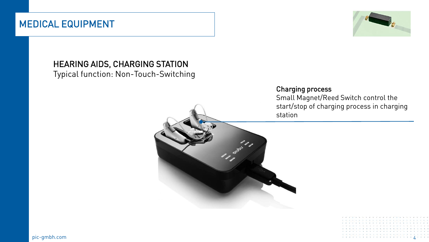#### MEDICAL EQUIPMENT



#### HEARING AIDS, CHARGING STATION

Typical function: Non-Touch-Switching



Small Magnet/Reed Switch control the start/stop of charging process in charging station



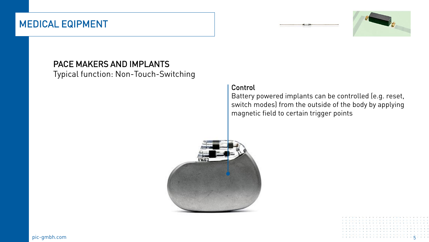#### MEDICAL EQIPMENT





#### PACE MAKERS AND IMPLANTS

Typical function: Non-Touch-Switching

#### Control

Battery powered implants can be controlled (e.g. reset, switch modes) from the outside of the body by applying magnetic field to certain trigger points